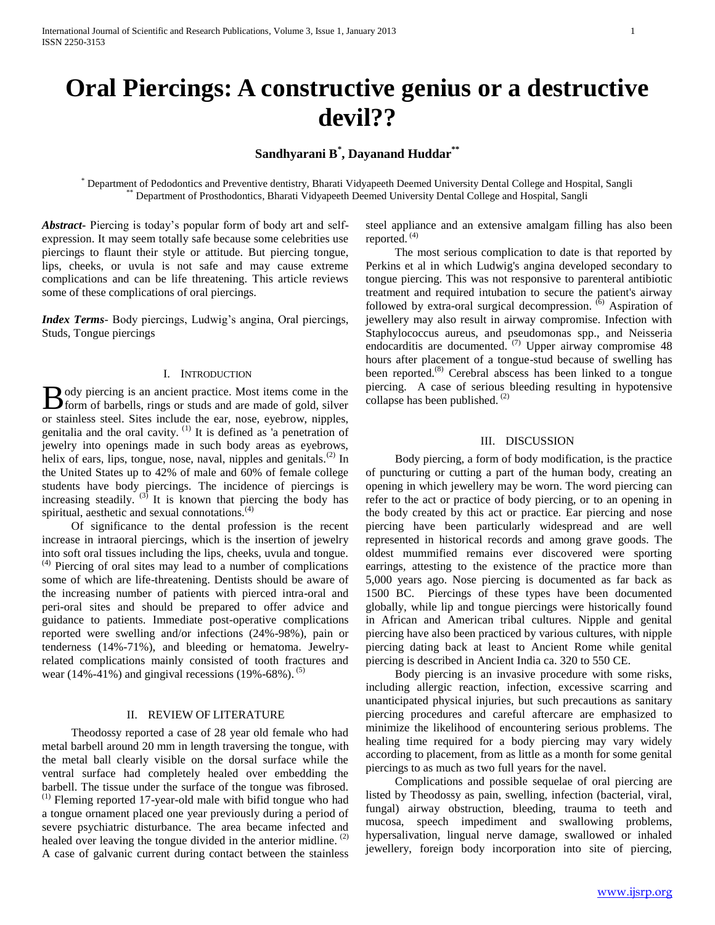# **Sandhyarani B\* , Dayanand Huddar\*\***

\* Department of Pedodontics and Preventive dentistry, Bharati Vidyapeeth Deemed University Dental College and Hospital, Sangli Department of Prosthodontics, Bharati Vidyapeeth Deemed University Dental College and Hospital, Sangli

*Abstract***-** Piercing is today's popular form of body art and selfexpression. It may seem totally safe because some celebrities use piercings to flaunt their style or attitude. But piercing tongue, lips, cheeks, or uvula is not safe and may cause extreme complications and can be life threatening. This article reviews some of these complications of oral piercings.

*Index Terms*- Body piercings, Ludwig's angina, Oral piercings, Studs, Tongue piercings

## I. INTRODUCTION

ody piercing is an ancient practice. Most items come in the  $\bf{B}$  ody piercing is an ancient practice. Most items come in the form of barbells, rings or studs and are made of gold, silver or stainless steel. Sites include the ear, nose, eyebrow, nipples, genitalia and the oral cavity. (1) It is defined as 'a penetration of jewelry into openings made in such body areas as eyebrows, helix of ears, lips, tongue, nose, naval, nipples and genitals.<sup>(2)</sup> In the United States up to 42% of male and 60% of female college students have body piercings. The incidence of piercings is increasing steadily.  $^{(3)}$  It is known that piercing the body has spiritual, aesthetic and sexual connotations.<sup>(4)</sup>

 Of significance to the dental profession is the recent increase in intraoral piercings, which is the insertion of jewelry into soft oral tissues including the lips, cheeks, uvula and tongue.  $<sup>(4)</sup>$  Piercing of oral sites may lead to a number of complications</sup> some of which are life-threatening. Dentists should be aware of the increasing number of patients with pierced intra-oral and peri-oral sites and should be prepared to offer advice and guidance to patients. Immediate post-operative complications reported were swelling and/or infections (24%-98%), pain or tenderness (14%-71%), and bleeding or hematoma. Jewelryrelated complications mainly consisted of tooth fractures and wear (14%-41%) and gingival recessions (19%-68%).  $(5)$ 

#### II. REVIEW OF LITERATURE

 Theodossy reported a case of 28 year old female who had metal barbell around 20 mm in length traversing the tongue, with the metal ball clearly visible on the dorsal surface while the ventral surface had completely healed over embedding the barbell. The tissue under the surface of the tongue was fibrosed.  $<sup>(1)</sup>$  Fleming reported 17-year-old male with bifid tongue who had</sup> a tongue ornament placed one year previously during a period of severe psychiatric disturbance. The area became infected and healed over leaving the tongue divided in the anterior midline.  $<sup>(2)</sup>$ </sup> A case of galvanic current during contact between the stainless

steel appliance and an extensive amalgam filling has also been reported. (4)

 The most serious complication to date is that reported by Perkins et al in which Ludwig's angina developed secondary to tongue piercing. This was not responsive to parenteral antibiotic treatment and required intubation to secure the patient's airway followed by extra-oral surgical decompression. <sup>(6)</sup> Aspiration of jewellery may also result in airway compromise. Infection with Staphylococcus aureus, and pseudomonas spp., and Neisseria endocarditis are documented. (7) Upper airway compromise  $48$ hours after placement of a tongue-stud because of swelling has been reported.<sup>(8)</sup> Cerebral abscess has been linked to a tongue piercing. A case of serious bleeding resulting in hypotensive collapse has been published. (2)

## III. DISCUSSION

 Body piercing, a form of body modification, is the practice of puncturing or cutting a part of the human body, creating an opening in which jewellery may be worn. The word piercing can refer to the act or practice of body piercing, or to an opening in the body created by this act or practice. Ear piercing and nose piercing have been particularly widespread and are well represented in historical records and among grave goods. The oldest mummified remains ever discovered were sporting earrings, attesting to the existence of the practice more than 5,000 years ago. Nose piercing is documented as far back as 1500 BC. Piercings of these types have been documented globally, while lip and tongue piercings were historically found in African and American tribal cultures. Nipple and genital piercing have also been practiced by various cultures, with nipple piercing dating back at least to Ancient Rome while genital piercing is described in Ancient India ca. 320 to 550 CE.

 Body piercing is an invasive procedure with some risks, including allergic reaction, infection, excessive scarring and unanticipated physical injuries, but such precautions as sanitary piercing procedures and careful aftercare are emphasized to minimize the likelihood of encountering serious problems. The healing time required for a body piercing may vary widely according to placement, from as little as a month for some genital piercings to as much as two full years for the navel.

 Complications and possible sequelae of oral piercing are listed by Theodossy as pain, swelling, infection (bacterial, viral, fungal) airway obstruction, bleeding, trauma to teeth and mucosa, speech impediment and swallowing problems, hypersalivation, lingual nerve damage, swallowed or inhaled jewellery, foreign body incorporation into site of piercing,